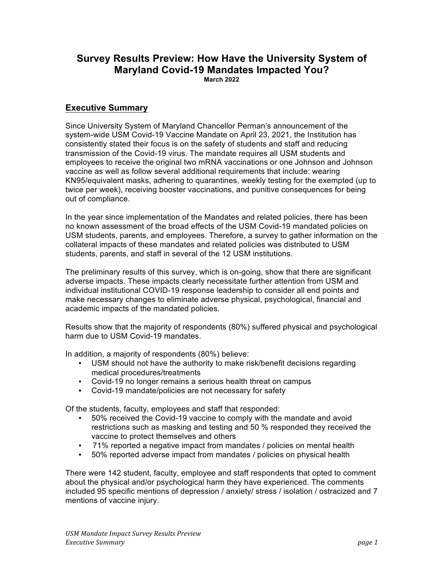## **Survey Results Preview: How Have the University System of Maryland Covid-19 Mandates Impacted You? March 2022**

## **Executive Summary**

Since University System of Maryland Chancellor Perman's announcement of the system-wide USM Covid-19 Vaccine Mandate on April 23, 2021, the Institution has consistently stated their focus is on the safety of students and staff and reducing transmission of the Covid-19 virus. The mandate requires all USM students and employees to receive the original two mRNA vaccinations or one Johnson and Johnson vaccine as well as follow several additional requirements that include: wearing KN95/equivalent masks, adhering to quarantines, weekly testing for the exempted (up to twice per week), receiving booster vaccinations, and punitive consequences for being out of compliance.

In the year since implementation of the Mandates and related policies, there has been no known assessment of the broad effects of the USM Covid-19 mandated policies on USM students, parents, and employees. Therefore, a survey to gather information on the collateral impacts of these mandates and related policies was distributed to USM students, parents, and staff in several of the 12 USM institutions.

The preliminary results of this survey, which is on-going, show that there are significant adverse impacts. These impacts clearly necessitate further attention from USM and individual institutional COVID-19 response leadership to consider all end points and make necessary changes to eliminate adverse physical, psychological, financial and academic impacts of the mandated policies.

Results show that the majority of respondents (80%) suffered physical and psychological harm due to USM Covid-19 mandates.

In addition, a majority of respondents (80%) believe:

- USM should not have the authority to make risk/benefit decisions regarding medical procedures/treatments
- Covid-19 no longer remains a serious health threat on campus
- Covid-19 mandate/policies are not necessary for safety

Of the students, faculty, employees and staff that responded:

- 50% received the Covid-19 vaccine to comply with the mandate and avoid restrictions such as masking and testing and 50 % responded they received the vaccine to protect themselves and others
- 71% reported a negative impact from mandates / policies on mental health
- 50% reported adverse impact from mandates / policies on physical health

There were 142 student, faculty, employee and staff respondents that opted to comment about the physical and/or psychological harm they have experienced. The comments included 95 specific mentions of depression / anxiety/ stress / isolation / ostracized and 7 mentions of vaccine injury.